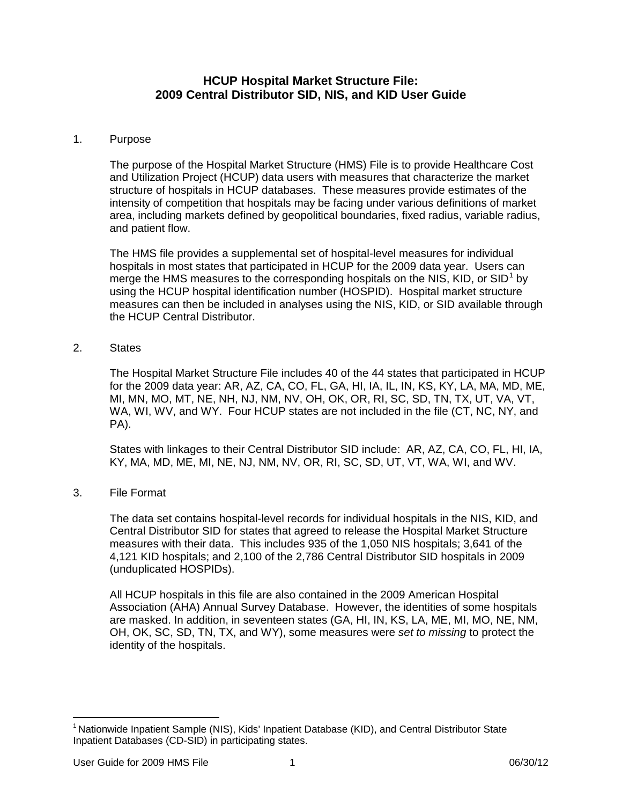## **HCUP Hospital Market Structure File: 2009 Central Distributor SID, NIS, and KID User Guide**

## 1. Purpose

The purpose of the Hospital Market Structure (HMS) File is to provide Healthcare Cost and Utilization Project (HCUP) data users with measures that characterize the market structure of hospitals in HCUP databases. These measures provide estimates of the intensity of competition that hospitals may be facing under various definitions of market area, including markets defined by geopolitical boundaries, fixed radius, variable radius, and patient flow.

The HMS file provides a supplemental set of hospital-level measures for individual hospitals in most states that participated in HCUP for the 2009 data year. Users can merge the HMS measures to the corresponding hospitals on the NIS, KID, or SID<sup>[1](#page-0-0)</sup> by using the HCUP hospital identification number (HOSPID). Hospital market structure measures can then be included in analyses using the NIS, KID, or SID available through the HCUP Central Distributor.

2. States

The Hospital Market Structure File includes 40 of the 44 states that participated in HCUP for the 2009 data year: AR, AZ, CA, CO, FL, GA, HI, IA, IL, IN, KS, KY, LA, MA, MD, ME, MI, MN, MO, MT, NE, NH, NJ, NM, NV, OH, OK, OR, RI, SC, SD, TN, TX, UT, VA, VT, WA, WI, WV, and WY. Four HCUP states are not included in the file (CT, NC, NY, and PA).

States with linkages to their Central Distributor SID include: AR, AZ, CA, CO, FL, HI, IA, KY, MA, MD, ME, MI, NE, NJ, NM, NV, OR, RI, SC, SD, UT, VT, WA, WI, and WV.

3. File Format

The data set contains hospital-level records for individual hospitals in the NIS, KID, and Central Distributor SID for states that agreed to release the Hospital Market Structure measures with their data. This includes 935 of the 1,050 NIS hospitals; 3,641 of the 4,121 KID hospitals; and 2,100 of the 2,786 Central Distributor SID hospitals in 2009 (unduplicated HOSPIDs).

All HCUP hospitals in this file are also contained in the 2009 American Hospital Association (AHA) Annual Survey Database. However, the identities of some hospitals are masked. In addition, in seventeen states (GA, HI, IN, KS, LA, ME, MI, MO, NE, NM, OH, OK, SC, SD, TN, TX, and WY), some measures were *set to missing* to protect the identity of the hospitals.

<span id="page-0-0"></span> $\overline{a}$ <sup>1</sup> Nationwide Inpatient Sample (NIS), Kids' Inpatient Database (KID), and Central Distributor State Inpatient Databases (CD-SID) in participating states.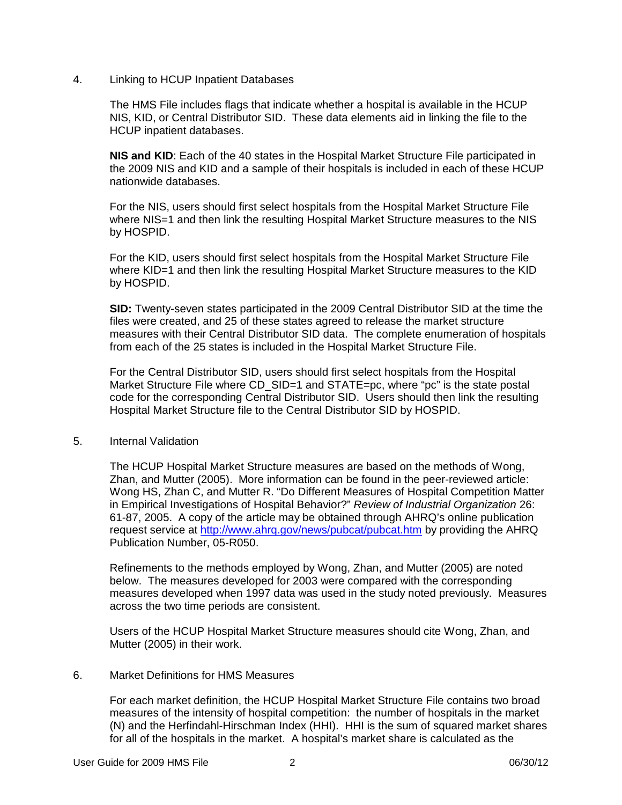4. Linking to HCUP Inpatient Databases

The HMS File includes flags that indicate whether a hospital is available in the HCUP NIS, KID, or Central Distributor SID. These data elements aid in linking the file to the HCUP inpatient databases.

**NIS and KID**: Each of the 40 states in the Hospital Market Structure File participated in the 2009 NIS and KID and a sample of their hospitals is included in each of these HCUP nationwide databases.

For the NIS, users should first select hospitals from the Hospital Market Structure File where NIS=1 and then link the resulting Hospital Market Structure measures to the NIS by HOSPID.

For the KID, users should first select hospitals from the Hospital Market Structure File where KID=1 and then link the resulting Hospital Market Structure measures to the KID by HOSPID.

**SID:** Twenty-seven states participated in the 2009 Central Distributor SID at the time the files were created, and 25 of these states agreed to release the market structure measures with their Central Distributor SID data. The complete enumeration of hospitals from each of the 25 states is included in the Hospital Market Structure File.

For the Central Distributor SID, users should first select hospitals from the Hospital Market Structure File where CD SID=1 and STATE=pc, where "pc" is the state postal code for the corresponding Central Distributor SID. Users should then link the resulting Hospital Market Structure file to the Central Distributor SID by HOSPID.

5. Internal Validation

The HCUP Hospital Market Structure measures are based on the methods of Wong, Zhan, and Mutter (2005). More information can be found in the peer-reviewed article: Wong HS, Zhan C, and Mutter R. "Do Different Measures of Hospital Competition Matter in Empirical Investigations of Hospital Behavior?" *Review of Industrial Organization* 26: 61-87, 2005. A copy of the article may be obtained through AHRQ's online publication request service at<http://www.ahrq.gov/news/pubcat/pubcat.htm> by providing the AHRQ Publication Number, 05-R050.

Refinements to the methods employed by Wong, Zhan, and Mutter (2005) are noted below. The measures developed for 2003 were compared with the corresponding measures developed when 1997 data was used in the study noted previously. Measures across the two time periods are consistent.

Users of the HCUP Hospital Market Structure measures should cite Wong, Zhan, and Mutter (2005) in their work.

## 6. Market Definitions for HMS Measures

For each market definition, the HCUP Hospital Market Structure File contains two broad measures of the intensity of hospital competition: the number of hospitals in the market (N) and the Herfindahl-Hirschman Index (HHI). HHI is the sum of squared market shares for all of the hospitals in the market. A hospital's market share is calculated as the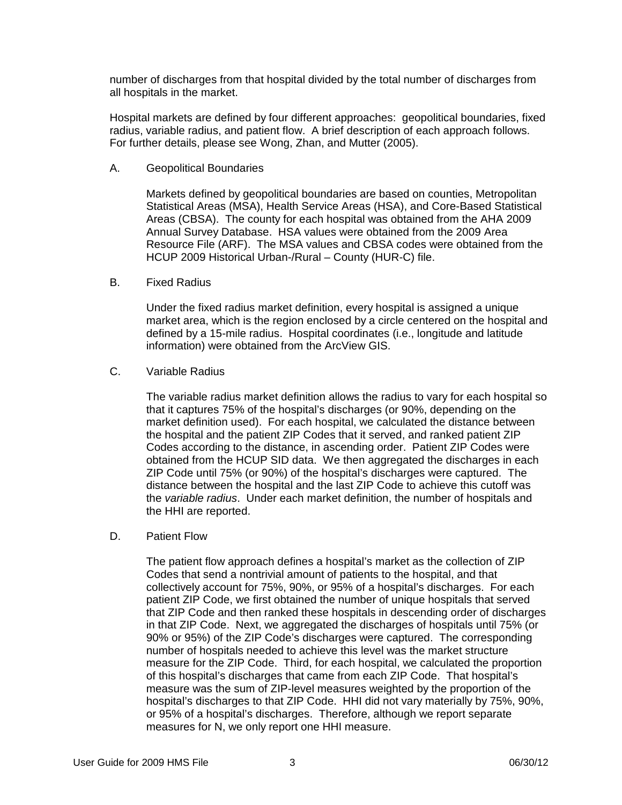number of discharges from that hospital divided by the total number of discharges from all hospitals in the market.

Hospital markets are defined by four different approaches: geopolitical boundaries, fixed radius, variable radius, and patient flow. A brief description of each approach follows. For further details, please see Wong, Zhan, and Mutter (2005).

A. Geopolitical Boundaries

Markets defined by geopolitical boundaries are based on counties, Metropolitan Statistical Areas (MSA), Health Service Areas (HSA), and Core-Based Statistical Areas (CBSA). The county for each hospital was obtained from the AHA 2009 Annual Survey Database. HSA values were obtained from the 2009 Area Resource File (ARF). The MSA values and CBSA codes were obtained from the HCUP 2009 Historical Urban-/Rural – County (HUR-C) file.

B. Fixed Radius

Under the fixed radius market definition, every hospital is assigned a unique market area, which is the region enclosed by a circle centered on the hospital and defined by a 15-mile radius. Hospital coordinates (i.e., longitude and latitude information) were obtained from the ArcView GIS.

C. Variable Radius

The variable radius market definition allows the radius to vary for each hospital so that it captures 75% of the hospital's discharges (or 90%, depending on the market definition used). For each hospital, we calculated the distance between the hospital and the patient ZIP Codes that it served, and ranked patient ZIP Codes according to the distance, in ascending order. Patient ZIP Codes were obtained from the HCUP SID data. We then aggregated the discharges in each ZIP Code until 75% (or 90%) of the hospital's discharges were captured. The distance between the hospital and the last ZIP Code to achieve this cutoff was the *variable radius*. Under each market definition, the number of hospitals and the HHI are reported.

D. Patient Flow

The patient flow approach defines a hospital's market as the collection of ZIP Codes that send a nontrivial amount of patients to the hospital, and that collectively account for 75%, 90%, or 95% of a hospital's discharges. For each patient ZIP Code, we first obtained the number of unique hospitals that served that ZIP Code and then ranked these hospitals in descending order of discharges in that ZIP Code. Next, we aggregated the discharges of hospitals until 75% (or 90% or 95%) of the ZIP Code's discharges were captured. The corresponding number of hospitals needed to achieve this level was the market structure measure for the ZIP Code. Third, for each hospital, we calculated the proportion of this hospital's discharges that came from each ZIP Code. That hospital's measure was the sum of ZIP-level measures weighted by the proportion of the hospital's discharges to that ZIP Code. HHI did not vary materially by 75%, 90%, or 95% of a hospital's discharges. Therefore, although we report separate measures for N, we only report one HHI measure.